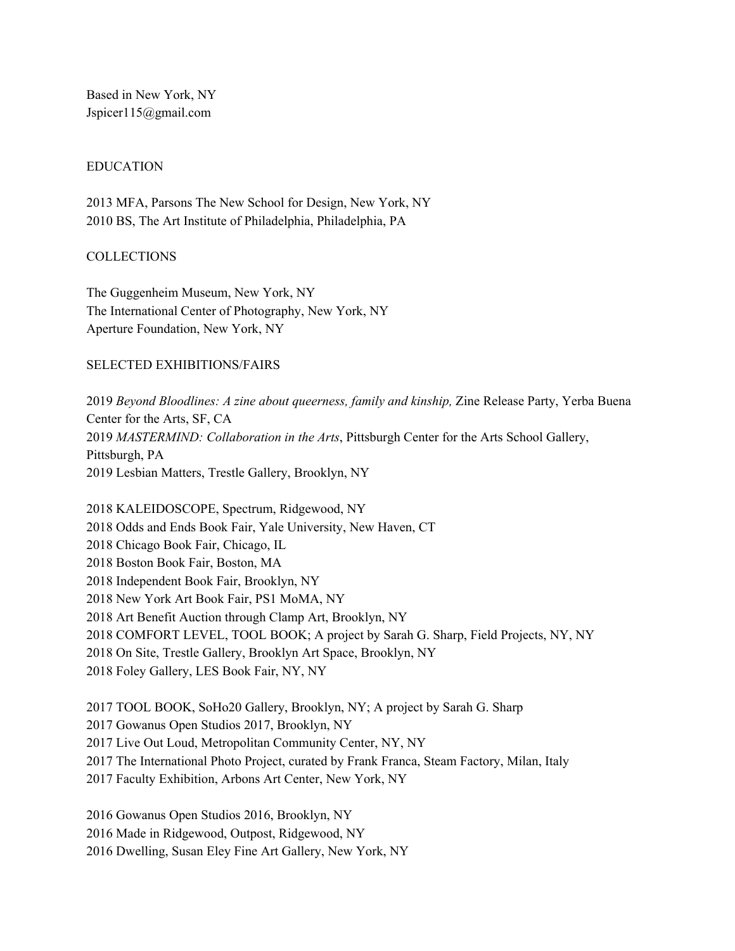Based in New York, NY Jspicer115@gmail.com

#### EDUCATION

 MFA, Parsons The New School for Design, New York, NY BS, The Art Institute of Philadelphia, Philadelphia, PA

#### COLLECTIONS

The Guggenheim Museum, New York, NY The International Center of Photography, New York, NY Aperture Foundation, New York, NY

#### SELECTED EXHIBITIONS/FAIRS

 *Beyond Bloodlines: A zine about queerness, family and kinship,* Zine Release Party, Yerba Buena Center for the Arts, SF, CA *MASTERMIND: Collaboration in the Arts*, Pittsburgh Center for the Arts School Gallery, Pittsburgh, PA Lesbian Matters, Trestle Gallery, Brooklyn, NY

 KALEIDOSCOPE, Spectrum, Ridgewood, NY Odds and Ends Book Fair, Yale University, New Haven, CT Chicago Book Fair, Chicago, IL Boston Book Fair, Boston, MA Independent Book Fair, Brooklyn, NY New York Art Book Fair, PS1 MoMA, NY Art Benefit Auction through Clamp Art, Brooklyn, NY COMFORT LEVEL, TOOL BOOK; A project by Sarah G. Sharp, Field Projects, NY, NY On Site, Trestle Gallery, Brooklyn Art Space, Brooklyn, NY Foley Gallery, LES Book Fair, NY, NY

 TOOL BOOK, SoHo20 Gallery, Brooklyn, NY; A project by Sarah G. Sharp Gowanus Open Studios 2017, Brooklyn, NY Live Out Loud, Metropolitan Community Center, NY, NY The International Photo Project, curated by Frank Franca, Steam Factory, Milan, Italy Faculty Exhibition, Arbons Art Center, New York, NY

 Gowanus Open Studios 2016, Brooklyn, NY Made in Ridgewood, Outpost, Ridgewood, NY Dwelling, Susan Eley Fine Art Gallery, New York, NY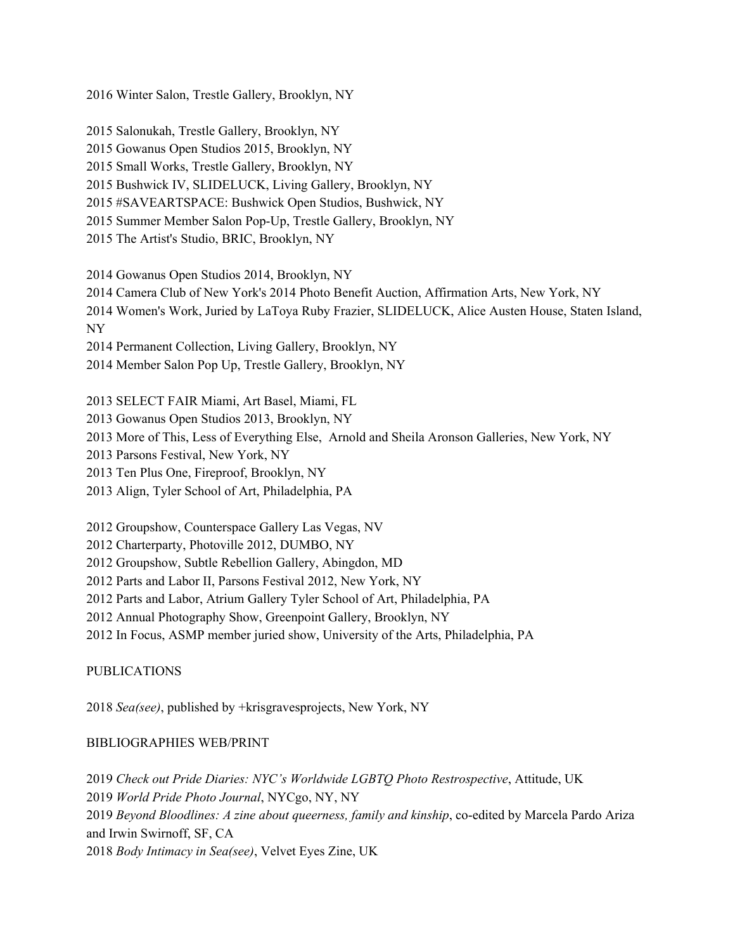Winter Salon, Trestle Gallery, Brooklyn, NY

Salonukah, Trestle Gallery, Brooklyn, NY

Gowanus Open Studios 2015, Brooklyn, NY

Small Works, Trestle Gallery, Brooklyn, NY

Bushwick IV, SLIDELUCK, Living Gallery, Brooklyn, NY

#SAVEARTSPACE: Bushwick Open Studios, Bushwick, NY

Summer Member Salon Pop-Up, Trestle Gallery, Brooklyn, NY

The Artist's Studio, BRIC, Brooklyn, NY

Gowanus Open Studios 2014, Brooklyn, NY

Camera Club of New York's 2014 Photo Benefit Auction, Affirmation Arts, New York, NY

 Women's Work, Juried by LaToya Ruby Frazier, SLIDELUCK, Alice Austen House, Staten Island, NY

Permanent Collection, Living Gallery, Brooklyn, NY

Member Salon Pop Up, Trestle Gallery, Brooklyn, NY

 SELECT FAIR Miami, Art Basel, Miami, FL Gowanus Open Studios 2013, Brooklyn, NY More of This, Less of Everything Else, Arnold and Sheila Aronson Galleries, New York, NY Parsons Festival, New York, NY Ten Plus One, Fireproof, Brooklyn, NY Align, Tyler School of Art, Philadelphia, PA

Groupshow, Counterspace Gallery Las Vegas, NV

Charterparty, Photoville 2012, DUMBO, NY

Groupshow, Subtle Rebellion Gallery, Abingdon, MD

Parts and Labor II, Parsons Festival 2012, New York, NY

Parts and Labor, Atrium Gallery Tyler School of Art, Philadelphia, PA

Annual Photography Show, Greenpoint Gallery, Brooklyn, NY

In Focus, ASMP member juried show, University of the Arts, Philadelphia, PA

PUBLICATIONS

*Sea(see)*, published by +krisgravesprojects, New York, NY

# BIBLIOGRAPHIES WEB/PRINT

 *Check out Pride Diaries: NYC's Worldwide LGBTQ Photo Restrospective*, Attitude, UK *World Pride Photo Journal*, NYCgo, NY, NY *Beyond Bloodlines: A zine about queerness, family and kinship*, co-edited by Marcela Pardo Ariza and Irwin Swirnoff, SF, CA *Body Intimacy in Sea(see)*, Velvet Eyes Zine, UK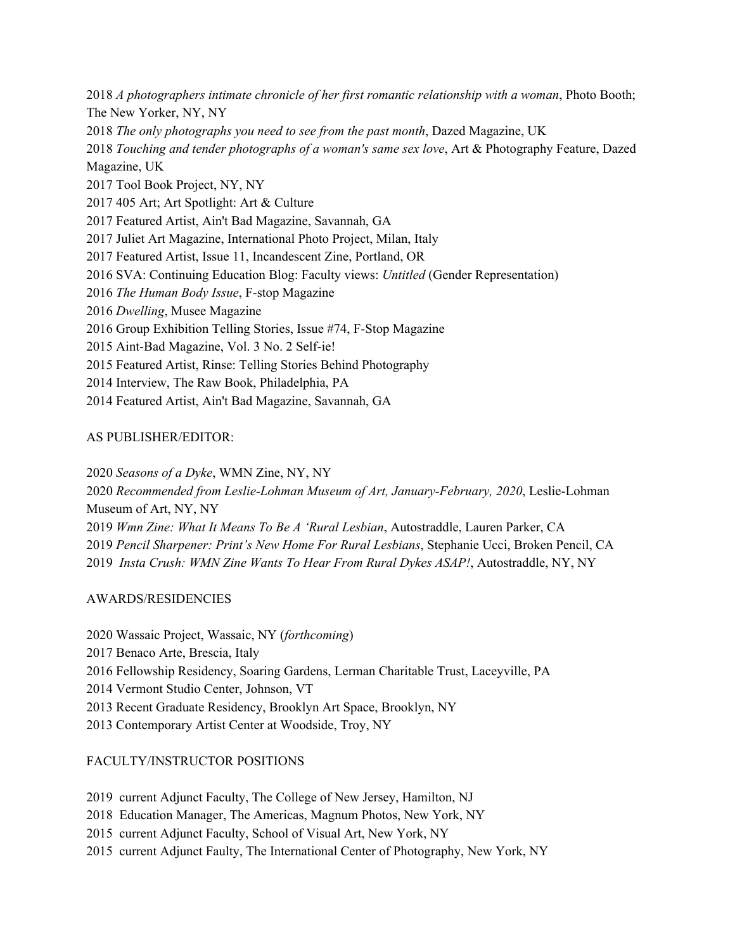*A photographers intimate chronicle of her first romantic relationship with a woman*, Photo Booth; The New Yorker, NY, NY *The only photographs you need to see from the past month*, Dazed Magazine, UK *Touching and tender photographs of a woman's same sex love*, Art & Photography Feature, Dazed Magazine, UK Tool Book Project, NY, NY 405 Art; Art Spotlight: Art & Culture Featured Artist, Ain't Bad Magazine, Savannah, GA Juliet Art Magazine, International Photo Project, Milan, Italy Featured Artist, Issue 11, Incandescent Zine, Portland, OR SVA: Continuing Education Blog: Faculty views: *Untitled* (Gender Representation) *The Human Body Issue*, F-stop Magazine *Dwelling*, Musee Magazine Group Exhibition Telling Stories, Issue #74, F-Stop Magazine Aint-Bad Magazine, Vol. 3 No. 2 Self-ie! Featured Artist, Rinse: Telling Stories Behind Photography Interview, The Raw Book, Philadelphia, PA

Featured Artist, Ain't Bad Magazine, Savannah, GA

# AS PUBLISHER/EDITOR:

 *Seasons of a Dyke*, WMN Zine, NY, NY *Recommended from Leslie-Lohman Museum of Art, [January-February,](https://files.persona.co/90541/Recommended-from-Leslie-Lohman-Museum-of-Art-January-February-2020-.pdf) 2020*, [Leslie-Lohman](https://files.persona.co/90541/Recommended-from-Leslie-Lohman-Museum-of-Art-January-February-2020-.pdf) [Museum](https://files.persona.co/90541/Recommended-from-Leslie-Lohman-Museum-of-Art-January-February-2020-.pdf) of Art, NY, NY *Wmn Zine: What It Means To Be A 'Rural [Lesbian](https://www.autostraddle.com/wmn-zine-what-it-means-to-be-a-rural-lesbian/)*, Autostraddle, Lauren Parker, CA *Pencil Sharpener: Print's New Home For Rural Lesbians*, Stephanie Ucci, Broken Pencil, CA *Insta Crush: WMN Zine Wants To Hear From Rural Dykes ASAP!*, Autostraddle, NY, NY

# AWARDS/RESIDENCIES

 Wassaic Project, Wassaic, NY (*forthcoming*) Benaco Arte, Brescia, Italy Fellowship Residency, Soaring Gardens, Lerman Charitable Trust, Laceyville, PA Vermont Studio Center, Johnson, VT Recent Graduate Residency, Brooklyn Art Space, Brooklyn, NY Contemporary Artist Center at Woodside, Troy, NY

# FACULTY/INSTRUCTOR POSITIONS

current Adjunct Faculty, The College of New Jersey, Hamilton, NJ

Education Manager, The Americas, Magnum Photos, New York, NY

current Adjunct Faculty, School of Visual Art, New York, NY

current Adjunct Faulty, The International Center of Photography, New York, NY